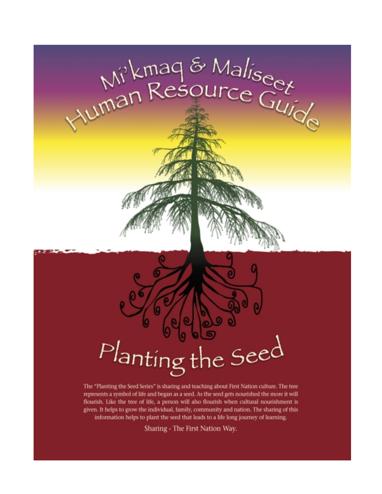

The "Planting the Seed Series" is sharing and teaching about First Nation culture. The tree represents a symbol of life and began as a seed. As the seed gets nourished the more it will flourish. Like the tree of life, a person will also flourish when cultural nourishment is given. It helps to grow the individual, family, community and nation. The sharing of this information helps to plant the seed that leads to a life long journey of learning.

Sharing - The First Nation Way.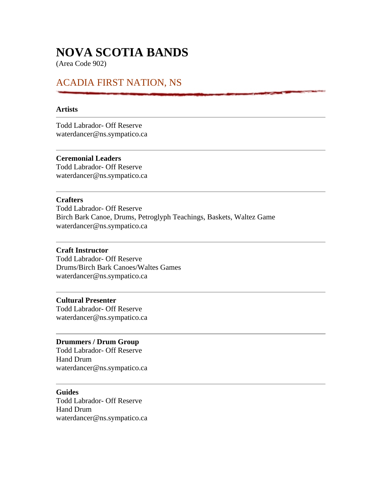# **NOVA SCOTIA BANDS**

(Area Code 902)

# ACADIA FIRST NATION, NS

#### **Artists**

Todd Labrador- Off Reserve waterdancer@ns.sympatico.ca

### **Ceremonial Leaders**

Todd Labrador- Off Reserve waterdancer@ns.sympatico.ca

#### **Crafters**

Todd Labrador- Off Reserve Birch Bark Canoe, Drums, Petroglyph Teachings, Baskets, Waltez Game waterdancer@ns.sympatico.ca

#### **Craft Instructor**

Todd Labrador- Off Reserve Drums/Birch Bark Canoes/Waltes Games waterdancer@ns.sympatico.ca

#### **Cultural Presenter**

Todd Labrador- Off Reserve waterdancer@ns.sympatico.ca

#### **Drummers / Drum Group**

Todd Labrador- Off Reserve Hand Drum waterdancer@ns.sympatico.ca

### **Guides**

Todd Labrador- Off Reserve Hand Drum waterdancer@ns.sympatico.ca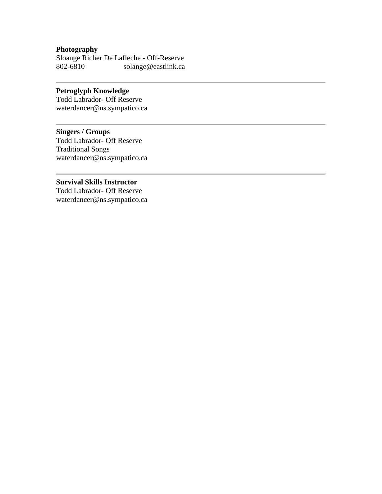# **Photography**

Sloange Richer De Lafleche - Off-Reserve 802-6810 solange@eastlink.ca

## **Petroglyph Knowledge**

Todd Labrador- Off Reserve waterdancer@ns.sympatico.ca

# **Singers / Groups**

Todd Labrador- Off Reserve Traditional Songs waterdancer@ns.sympatico.ca

### **Survival Skills Instructor**

Todd Labrador- Off Reserve waterdancer@ns.sympatico.ca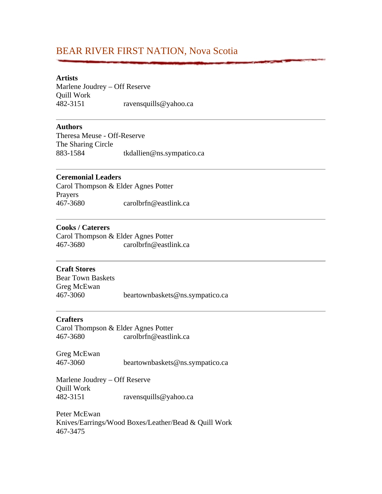# BEAR RIVER FIRST NATION, Nova Scotia

#### **Artists**

Marlene Joudrey – Off Reserve Quill Work 482-3151 ravensquills@yahoo.ca

#### **Authors**

Theresa Meuse - Off-Reserve The Sharing Circle 883-1584 tkdallien@ns.sympatico.ca

#### **Ceremonial Leaders**

Carol Thompson & Elder Agnes Potter Prayers 467-3680 carolbrfn@eastlink.ca

#### **Cooks / Caterers**

Carol Thompson & Elder Agnes Potter 467-3680 carolbrfn@eastlink.ca

#### **Craft Stores**

Bear Town Baskets Greg McEwan 467-3060 beartownbaskets@ns.sympatico.ca

#### **Crafters**

Carol Thompson & Elder Agnes Potter 467-3680 carolbrfn@eastlink.ca

Greg McEwan 467-3060 beartownbaskets@ns.sympatico.ca

Marlene Joudrey – Off Reserve Quill Work 482-3151 ravensquills@yahoo.ca

Peter McEwan Knives/Earrings/Wood Boxes/Leather/Bead & Quill Work 467-3475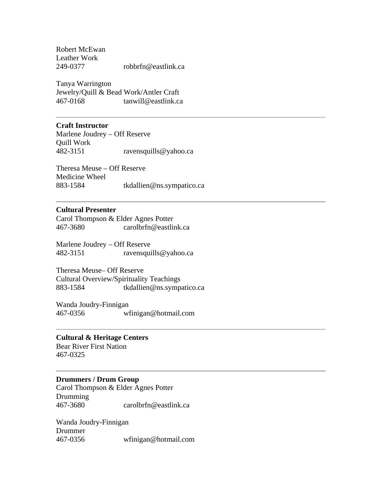Robert McEwan Leather Work 249-0377 robbrfn@eastlink.ca

Tanya Warrington Jewelry/Quill & Bead Work/Antler Craft 467-0168 tanwill@eastlink.ca

#### **Craft Instructor**

Marlene Joudrey – Off Reserve Quill Work 482-3151 ravensquills@yahoo.ca

Theresa Meuse – Off Reserve Medicine Wheel 883-1584 tkdallien@ns.sympatico.ca

#### **Cultural Presenter**

Carol Thompson & Elder Agnes Potter 467-3680 carolbrfn@eastlink.ca

Marlene Joudrey – Off Reserve 482-3151 ravensquills@yahoo.ca

Theresa Meuse– Off Reserve Cultural Overview/Spirituality Teachings 883-1584 tkdallien@ns.sympatico.ca

Wanda Joudry-Finnigan 467-0356 wfinigan@hotmail.com

#### **Cultural & Heritage Centers**

Bear River First Nation 467-0325

#### **Drummers / Drum Group**

Carol Thompson & Elder Agnes Potter **Drumming** 467-3680 carolbrfn@eastlink.ca

Wanda Joudry-Finnigan Drummer 467-0356 wfinigan@hotmail.com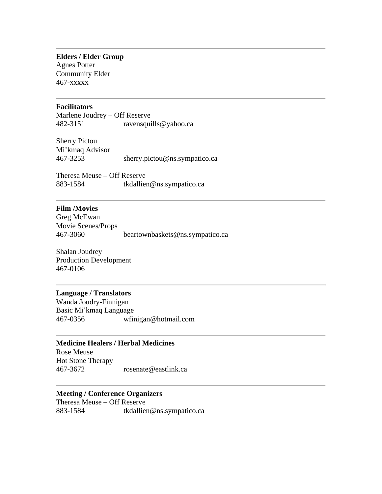**Elders / Elder Group** Agnes Potter

Community Elder 467-xxxxx

#### **Facilitators**

Marlene Joudrey – Off Reserve 482-3151 ravensquills@yahoo.ca

Sherry Pictou Mi'kmaq Advisor 467-3253 sherry.pictou@ns.sympatico.ca

Theresa Meuse – Off Reserve 883-1584 tkdallien@ns.sympatico.ca

#### **Film /Movies**

Greg McEwan Movie Scenes/Props 467-3060 beartownbaskets@ns.sympatico.ca

Shalan Joudrey Production Development 467-0106

#### **Language / Translators**

Wanda Joudry-Finnigan Basic Mi'kmaq Language 467-0356 wfinigan@hotmail.com

#### **Medicine Healers / Herbal Medicines**

Rose Meuse Hot Stone Therapy 467-3672 rosenate@eastlink.ca

#### **Meeting / Conference Organizers**

Theresa Meuse – Off Reserve 883-1584 tkdallien@ns.sympatico.ca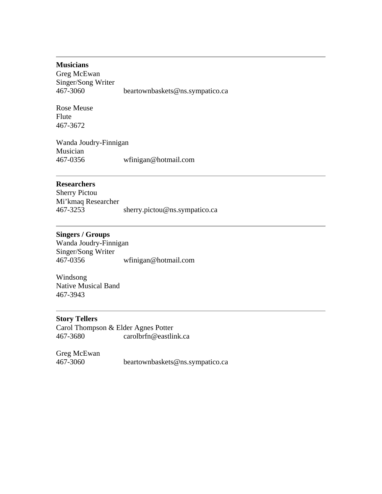#### **Musicians**

Greg McEwan Singer/Song Writer 467-3060 beartownbaskets@ns.sympatico.ca

Rose Meuse Flute 467-3672

Wanda Joudry-Finnigan Musician 467-0356 wfinigan@hotmail.com

#### **Researchers**

Sherry Pictou Mi'kmaq Researcher 467-3253 sherry.pictou@ns.sympatico.ca

### **Singers / Groups**

Wanda Joudry-Finnigan Singer/Song Writer 467-0356 wfinigan@hotmail.com

Windsong Native Musical Band 467-3943

### **Story Tellers**

Carol Thompson & Elder Agnes Potter 467-3680 carolbrfn@eastlink.ca

Greg McEwan 467-3060 beartownbaskets@ns.sympatico.ca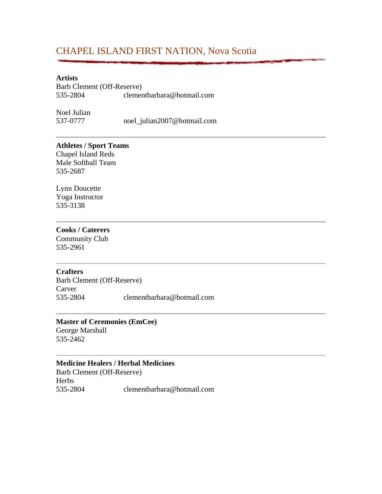# CHAPEL ISLAND FIRST NATION, Nova Scotia

#### **Artists**

Barb Clement (Off-Reserve) 535-2804 clementbarbara@hotmail.com

Noel Julian

537-0777 noel\_julian2007@hotmail.com

#### **Athletes / Sport Teams**

Chapel Island Reds Male Softball Team 535-2687

Lynn Doucette Yoga Instructor 535-3138

#### **Cooks / Caterers**

Community Club 535-2961

#### **Crafters**

Barb Clement (Off-Reserve) Carver 535-2804 clementbarbara@hotmail.com

#### **Master of Ceremonies (EmCee)**

George Marshall 535-2462

#### **Medicine Healers / Herbal Medicines**

Barb Clement (Off-Reserve) **Herbs** 535-2804 clementbarbara@hotmail.com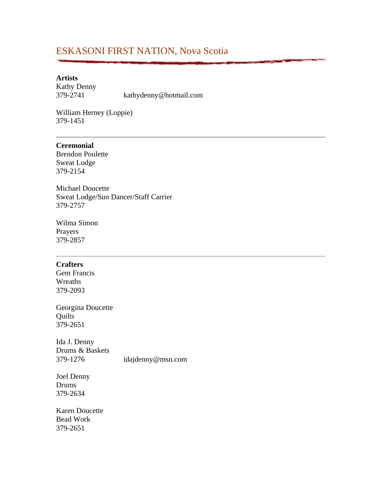# ESKASONI FIRST NATION, Nova Scotia

#### **Artists**

Kathy Denny

379-2741 kathydenny@hotmail.com

William Herney (Loppie) 379-1451

### **Ceremonial**

Brendon Poulette Sweat Lodge 379-2154

Michael Doucette Sweat Lodge/Sun Dancer/Staff Carrier 379-2757

Wilma Simon Prayers 379-2857

#### **Crafters**

Gem Francis Wreaths 379-2093

Georgina Doucette **Quilts** 379-2651

Ida J. Denny Drums & Baskets 379-1276 idajdenny@msn.com

Joel Denny Drums 379-2634

Karen Doucette Bead Work 379-2651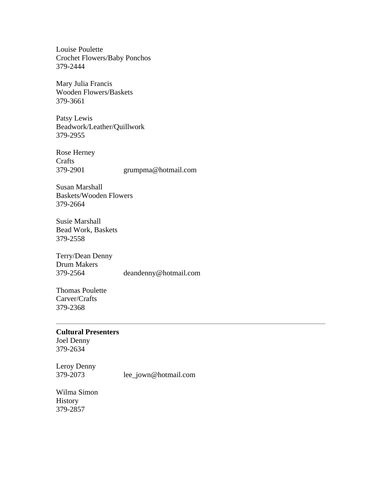Louise Poulette Crochet Flowers/Baby Ponchos 379-2444

Mary Julia Francis Wooden Flowers/Baskets 379-3661

Patsy Lewis Beadwork/Leather/Quillwork 379-2955

Rose Herney Crafts 379-2901 grumpma@hotmail.com

Susan Marshall Baskets/Wooden Flowers 379-2664

Susie Marshall Bead Work, Baskets 379-2558

Terry/Dean Denny Drum Makers 379-2564 deandenny@hotmail.com

Thomas Poulette Carver/Crafts 379-2368

#### **Cultural Presenters**

Joel Denny 379-2634

Leroy Denny 379-2073 lee\_jown@hotmail.com

Wilma Simon History 379-2857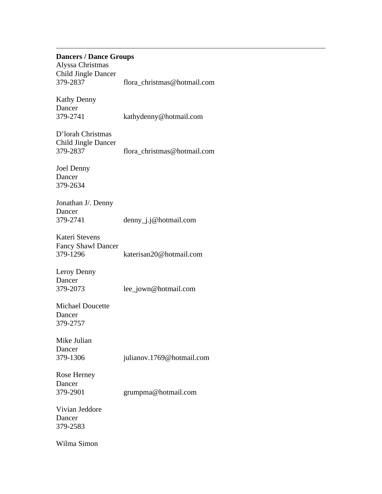#### **Dancers / Dance Groups**

Alyssa Christmas Child Jingle Dancer 379-2837 flora\_christmas@hotmail.com

Kathy Denny Dancer 379-2741 kathydenny@hotmail.com

D'lorah Christmas Child Jingle Dancer 379-2837 flora\_christmas@hotmail.com

Joel Denny Dancer 379-2634

Jonathan J/. Denny Dancer 379-2741 denny\_j.j@hotmail.com

Kateri Stevens Fancy Shawl Dancer 379-1296 katerisan20@hotmail.com

Leroy Denny Dancer 379-2073 lee\_jown@hotmail.com

Michael Doucette Dancer 379-2757

Mike Julian Dancer

379-1306 julianov.1769@hotmail.com

Rose Herney Dancer

379-2901 grumpma@hotmail.com

Vivian Jeddore Dancer 379-2583

Wilma Simon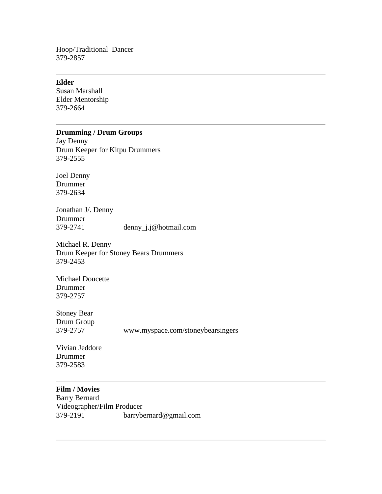Hoop/Traditional Dancer 379-2857

#### **Elder**

Susan Marshall Elder Mentorship 379-2664

### **Drumming / Drum Groups**

Jay Denny Drum Keeper for Kitpu Drummers 379-2555

Joel Denny Drummer 379-2634

Jonathan J/. Denny Drummer 379-2741 denny\_j.j@hotmail.com

Michael R. Denny Drum Keeper for Stoney Bears Drummers 379-2453

Michael Doucette Drummer 379-2757

Stoney Bear Drum Group

379-2757 www.myspace.com/stoneybearsingers

Vivian Jeddore Drummer 379-2583

#### **Film / Movies**

Barry Bernard Videographer/Film Producer 379-2191 barrybernard@gmail.com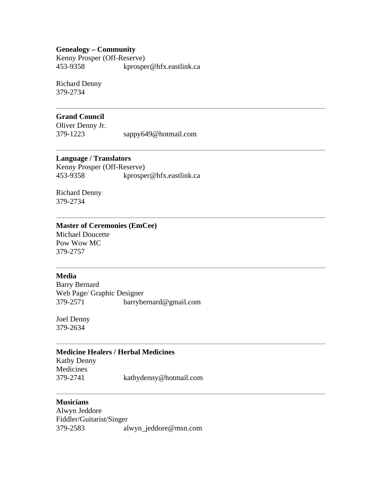#### **Genealogy – Community**

Kenny Prosper (Off-Reserve) 453-9358 kprosper@hfx.eastlink.ca

Richard Denny 379-2734

#### **Grand Council**

Oliver Denny Jr. 379-1223 sappy649@hotmail.com

### **Language / Translators**

Kenny Prosper (Off-Reserve) 453-9358 kprosper@hfx.eastlink.ca

Richard Denny 379-2734

#### **Master of Ceremonies (EmCee)**

Michael Doucette Pow Wow MC 379-2757

#### **Media**

Barry Bernard Web Page/ Graphic Designer 379-2571 barrybernard@gmail.com

Joel Denny 379-2634

#### **Medicine Healers / Herbal Medicines**

Kathy Denny Medicines 379-2741 kathydenny@hotmail.com

### **Musicians**

Alwyn Jeddore Fiddler/Guitarist/Singer 379-2583 alwyn\_jeddore@msn.com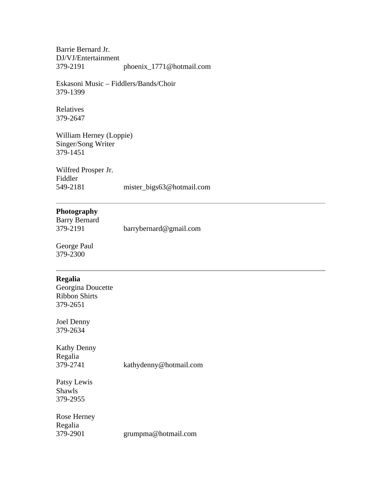Barrie Bernard Jr. DJ/VJ/Entertainment 379-2191 phoenix\_1771@hotmail.com

Eskasoni Music – Fiddlers/Bands/Choir 379-1399

Relatives 379-2647

William Herney (Loppie) Singer/Song Writer 379-1451

Wilfred Prosper Jr. Fiddler 549-2181 mister\_bigs63@hotmail.com

# **Photography**

| <b>Barry Bernard</b> |                        |
|----------------------|------------------------|
| 379-2191             | barrybernard@gmail.com |

George Paul 379-2300

#### **Regalia**

Georgina Doucette Ribbon Shirts 379-2651

Joel Denny 379-2634

Kathy Denny Regalia<br>379-2741 kathydenny@hotmail.com

Patsy Lewis Shawls 379-2955

Rose Herney Regalia

379-2901 grumpma@hotmail.com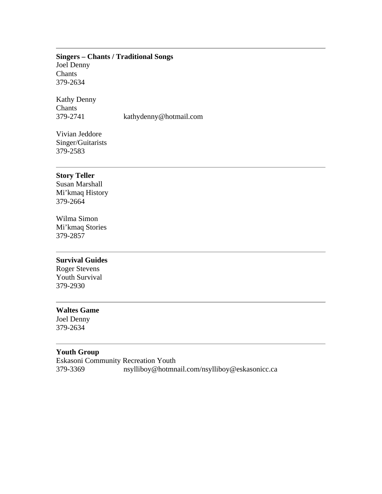#### **Singers – Chants / Traditional Songs** Joel Denny

Chants 379-2634

Kathy Denny **Chants** 379-2741 kathydenny@hotmail.com

Vivian Jeddore Singer/Guitarists 379-2583

#### **Story Teller**

Susan Marshall Mi'kmaq History 379-2664

Wilma Simon Mi'kmaq Stories 379-2857

#### **Survival Guides**

Roger Stevens Youth Survival 379-2930

#### **Waltes Game**

Joel Denny 379-2634

# **Youth Group**

Eskasoni Community Recreation Youth 379-3369 nsylliboy@hotmnail.com/nsylliboy@eskasonicc.ca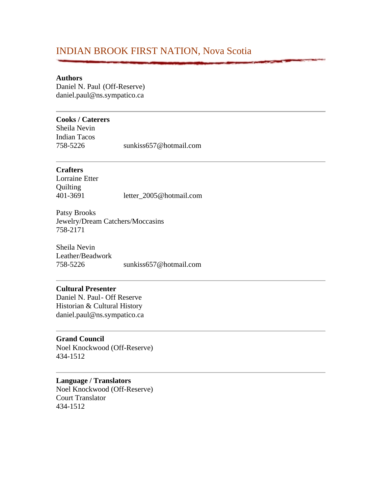# INDIAN BROOK FIRST NATION, Nova Scotia

#### **Authors**

Daniel N. Paul (Off-Reserve) daniel.paul@ns.sympatico.ca

#### **Cooks / Caterers**

Sheila Nevin Indian Tacos 758-5226 sunkiss657@hotmail.com

### **Crafters**

Lorraine Etter **Quilting** 401-3691 letter\_2005@hotmail.com

Patsy Brooks Jewelry/Dream Catchers/Moccasins 758-2171

Sheila Nevin Leather/Beadwork 758-5226 sunkiss657@hotmail.com

#### **Cultural Presenter**

Daniel N. Paul- Off Reserve Historian & Cultural History daniel.paul@ns.sympatico.ca

#### **Grand Council**

Noel Knockwood (Off-Reserve) 434-1512

## **Language / Translators**

Noel Knockwood (Off-Reserve) Court Translator 434-1512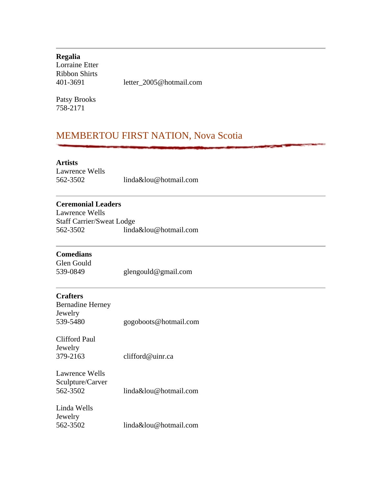| Regalia        |                         |
|----------------|-------------------------|
| Lorraine Etter |                         |
| Ribbon Shirts  |                         |
| 401-3691       | letter 2005@hotmail.com |
|                |                         |

Patsy Brooks 758-2171

# MEMBERTOU FIRST NATION, Nova Scotia

# **Artists**

Lawrence Wells 562-3502 linda&lou@hotmail.com

# **Ceremonial Leaders**

Lawrence Wells Staff Carrier/Sweat Lodge 562-3502 linda&lou@hotmail.com

# **Comedians**

Glen Gould 539-0849 glengould@gmail.com

# **Crafters**

| <b>Bernadine Herney</b> |                       |
|-------------------------|-----------------------|
| Jewelry                 |                       |
| 539-5480                | gogoboots@hotmail.com |

Clifford Paul Jewelry 379-2163 clifford@uinr.ca

Lawrence Wells Sculpture/Carver 562-3502 linda&lou@hotmail.com

| Linda Wells |                       |
|-------------|-----------------------|
| Jewelry     |                       |
| 562-3502    | linda&lou@hotmail.com |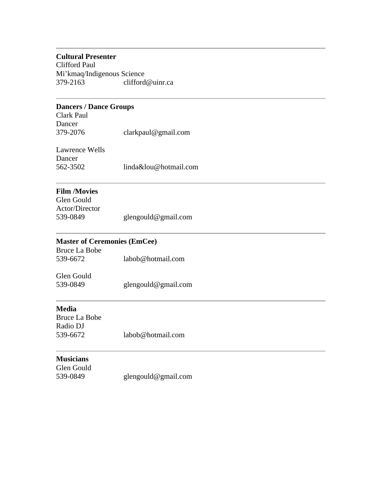### **Cultural Presenter**

Clifford Paul Mi'kmaq/Indigenous Science 379-2163 clifford@uinr.ca

# **Dancers / Dance Groups**

Clark Paul Dancer 379-2076 clarkpaul@gmail.com

| Lawrence Wells |                       |
|----------------|-----------------------|
| Dancer         |                       |
| 562-3502       | linda&lou@hotmail.com |

# **Film /Movies**

| Glen Gould     |                     |
|----------------|---------------------|
| Actor/Director |                     |
| 539-0849       | glengould@gmail.com |

# **Master of Ceremonies (EmCee)**

| Bruce La Bobe |                   |
|---------------|-------------------|
| 539-6672      | labob@hotmail.com |

| Glen Gould |                     |
|------------|---------------------|
| 539-0849   | glengould@gmail.com |

# **Media**

| Bruce La Bobe |                   |
|---------------|-------------------|
| Radio DJ      |                   |
| 539-6672      | labob@hotmail.com |

# **Musicians**

Glen Gould 539-0849 glengould@gmail.com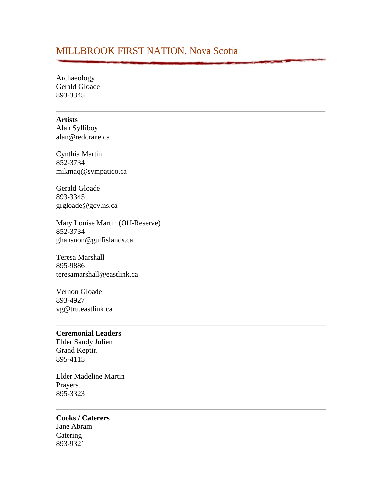# MILLBROOK FIRST NATION, Nova Scotia

Archaeology Gerald Gloade 893-3345

#### **Artists**

Alan Sylliboy alan@redcrane.ca

Cynthia Martin 852-3734 mikmaq@sympatico.ca

Gerald Gloade 893-3345 grgloade@gov.ns.ca

Mary Louise Martin (Off-Reserve) 852-3734 ghansnon@gulfislands.ca

Teresa Marshall 895-9886 teresamarshall@eastlink.ca

Vernon Gloade 893-4927 vg@tru.eastlink.ca

# **Ceremonial Leaders**

Elder Sandy Julien Grand Keptin 895-4115

Elder Madeline Martin Prayers 895-3323

**Cooks / Caterers** Jane Abram Catering 893-9321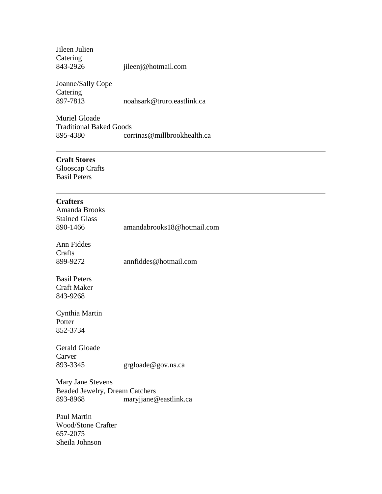| Jileen Julien |                     |
|---------------|---------------------|
| Catering      |                     |
| 843-2926      | jileenj@hotmail.com |

Joanne/Sally Cope Catering<br>897-7813 897-7813 noahsark@truro.eastlink.ca

Muriel Gloade Traditional Baked Goods 895-4380 corrinas@millbrookhealth.ca

# **Craft Stores**

Glooscap Crafts Basil Peters

| <b>Crafters</b><br>Amanda Brooks      |                            |
|---------------------------------------|----------------------------|
| <b>Stained Glass</b>                  |                            |
| 890-1466                              | amandabrooks18@hotmail.com |
| Ann Fiddes                            |                            |
| Crafts                                |                            |
| 899-9272                              | annfiddes@hotmail.com      |
| <b>Basil Peters</b>                   |                            |
| <b>Craft Maker</b>                    |                            |
| 843-9268                              |                            |
| Cynthia Martin                        |                            |
| Potter                                |                            |
| 852-3734                              |                            |
| <b>Gerald Gloade</b>                  |                            |
| Carver                                |                            |
| 893-3345                              | grgloade@gov.ns.ca         |
|                                       |                            |
| Mary Jane Stevens                     |                            |
| <b>Beaded Jewelry, Dream Catchers</b> |                            |
| 893-8968                              | maryjjane@eastlink.ca      |
| Paul Martin                           |                            |
| <b>Wood/Stone Crafter</b>             |                            |
| 657-2075                              |                            |
| Sheila Johnson                        |                            |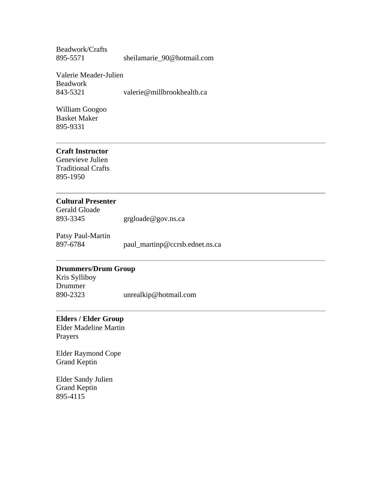Beadwork/Crafts 895-5571 sheilamarie\_90@hotmail.com

Valerie Meader-Julien Beadwork 843-5321 valerie@millbrookhealth.ca

William Googoo Basket Maker 895-9331

#### **Craft Instructor**

Genevieve Julien Traditional Crafts 895-1950

#### **Cultural Presenter**

Gerald Gloade 893-3345 grgloade@gov.ns.ca

Patsy Paul-Martin 897-6784 paul\_martinp@ccrsb.ednet.ns.ca

# **Drummers/Drum Group**

Kris Sylliboy Drummer 890-2323 unrealkip@hotmail.com

### **Elders / Elder Group**

Elder Madeline Martin Prayers

Elder Raymond Cope Grand Keptin

Elder Sandy Julien Grand Keptin 895-4115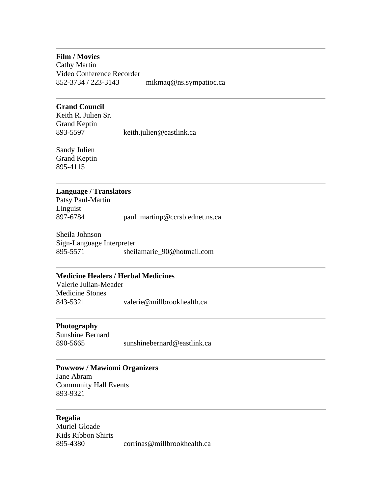#### **Film / Movies**

Cathy Martin Video Conference Recorder 852-3734 / 223-3143 mikmaq@ns.sympatioc.ca

#### **Grand Council**

Keith R. Julien Sr. Grand Keptin 893-5597 keith.julien@eastlink.ca

Sandy Julien Grand Keptin 895-4115

#### **Language / Translators**

Patsy Paul-Martin Linguist<br>897-6784 paul\_martinp@ccrsb.ednet.ns.ca

Sheila Johnson Sign-Language Interpreter 895-5571 sheilamarie\_90@hotmail.com

#### **Medicine Healers / Herbal Medicines**

Valerie Julian-Meader Medicine Stones 843-5321 valerie@millbrookhealth.ca

#### **Photography**

Sunshine Bernard 890-5665 sunshinebernard@eastlink.ca

#### **Powwow / Mawiomi Organizers**

Jane Abram Community Hall Events 893-9321

#### **Regalia**

Muriel Gloade Kids Ribbon Shirts 895-4380 corrinas@millbrookhealth.ca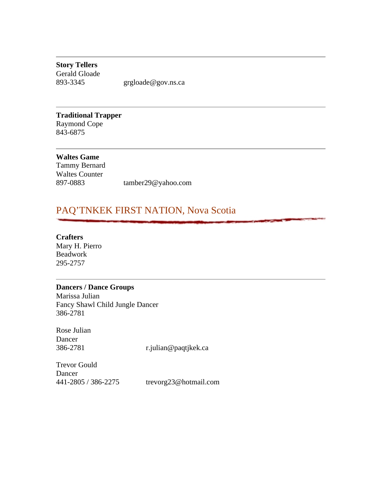**Story Tellers** Gerald Gloade

893-3345 grgloade@gov.ns.ca

**Traditional Trapper** Raymond Cope 843-6875

**Waltes Game** Tammy Bernard Waltes Counter 897-0883 tamber29@yahoo.com

# PAQ'TNKEK FIRST NATION, Nova Scotia

**Crafters**

Mary H. Pierro Beadwork 295-2757

#### **Dancers / Dance Groups**

Marissa Julian Fancy Shawl Child Jungle Dancer 386-2781

Rose Julian Dancer<br>386-2781

386-2781 r.julian@paqtjkek.ca

Trevor Gould Dancer 441-2805 / 386-2275 trevorg23@hotmail.com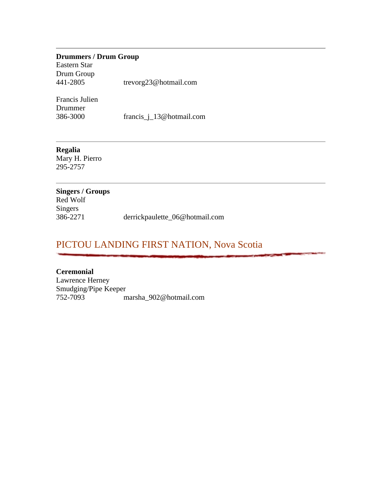### **Drummers / Drum Group**

Eastern Star Drum Group 441-2805 trevorg23@hotmail.com

Francis Julien Drummer

386-3000 francis\_j\_13@hotmail.com

#### **Regalia**

Mary H. Pierro 295-2757

# **Singers / Groups** Red Wolf Singers<br>386-2271 386-2271 derrickpaulette\_06@hotmail.com

# PICTOU LANDING FIRST NATION, Nova Scotia

**Ceremonial** Lawrence Herney Smudging/Pipe Keeper 752-7093 marsha\_902@hotmail.com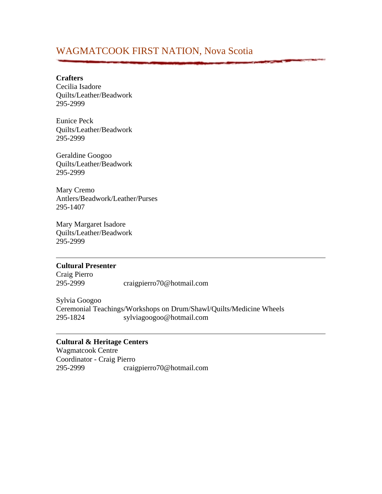# WAGMATCOOK FIRST NATION, Nova Scotia

#### **Crafters**

Cecilia Isadore Quilts/Leather/Beadwork 295-2999

Eunice Peck Quilts/Leather/Beadwork 295-2999

Geraldine Googoo Quilts/Leather/Beadwork 295-2999

Mary Cremo Antlers/Beadwork/Leather/Purses 295-1407

Mary Margaret Isadore Quilts/Leather/Beadwork 295-2999

#### **Cultural Presenter**

Craig Pierro 295-2999 craigpierro70@hotmail.com

Sylvia Googoo Ceremonial Teachings/Workshops on Drum/Shawl/Quilts/Medicine Wheels 295-1824 sylviagoogoo@hotmail.com

#### **Cultural & Heritage Centers**

Wagmatcook Centre Coordinator - Craig Pierro 295-2999 craigpierro70@hotmail.com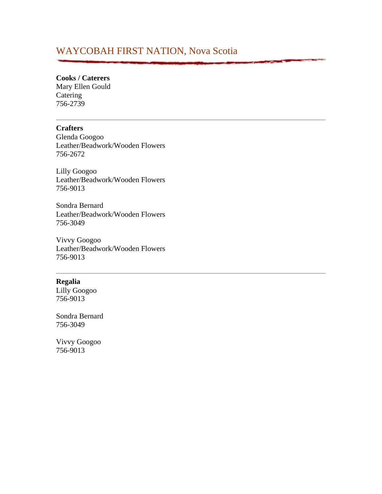# WAYCOBAH FIRST NATION, Nova Scotia

# **Cooks / Caterers**

Mary Ellen Gould Catering 756-2739

#### **Crafters**

Glenda Googoo Leather/Beadwork/Wooden Flowers 756-2672

Lilly Googoo Leather/Beadwork/Wooden Flowers 756-9013

Sondra Bernard Leather/Beadwork/Wooden Flowers 756-3049

Vivvy Googoo Leather/Beadwork/Wooden Flowers 756-9013

### **Regalia**

Lilly Googoo 756-9013

Sondra Bernard 756-3049

Vivvy Googoo 756-9013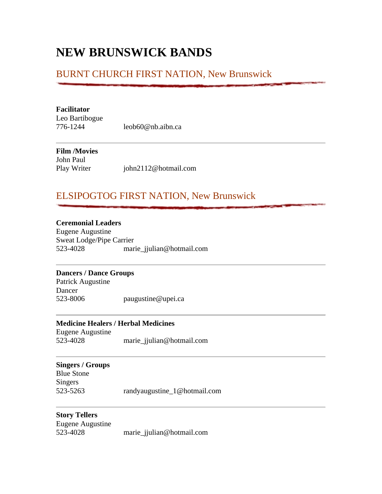# **NEW BRUNSWICK BANDS**

# BURNT CHURCH FIRST NATION, New Brunswick

#### **Facilitator**

Leo Bartibogue

776-1244 leob60@nb.aibn.ca

# **Film /Movies**

John Paul

Play Writer john2112@hotmail.com

# ELSIPOGTOG FIRST NATION, New Brunswick

## **Ceremonial Leaders**

Eugene Augustine Sweat Lodge/Pipe Carrier 523-4028 marie\_jjulian@hotmail.com

#### **Dancers / Dance Groups**

Patrick Augustine Dancer 523-8006 paugustine@upei.ca

# **Medicine Healers / Herbal Medicines**

Eugene Augustine 523-4028 marie\_jjulian@hotmail.com

### **Singers / Groups**

Blue Stone Singers 523-5263 randyaugustine\_1@hotmail.com

#### **Story Tellers**

Eugene Augustine 523-4028 marie\_jjulian@hotmail.com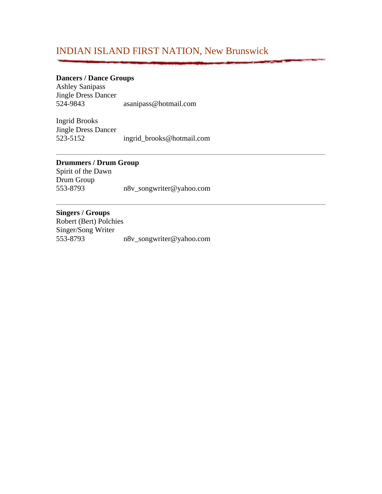# INDIAN ISLAND FIRST NATION, New Brunswick

### **Dancers / Dance Groups**

Ashley Sanipass Jingle Dress Dancer<br>524-9843 524-9843 asanipass@hotmail.com

Ingrid Brooks Jingle Dress Dancer 523-5152 ingrid\_brooks@hotmail.com

# **Drummers / Drum Group**

Spirit of the Dawn Drum Group 553-8793 n8v\_songwriter@yahoo.com

#### **Singers / Groups**

Robert (Bert) Polchies Singer/Song Writer<br>553-8793 553-8793 n8v\_songwriter@yahoo.com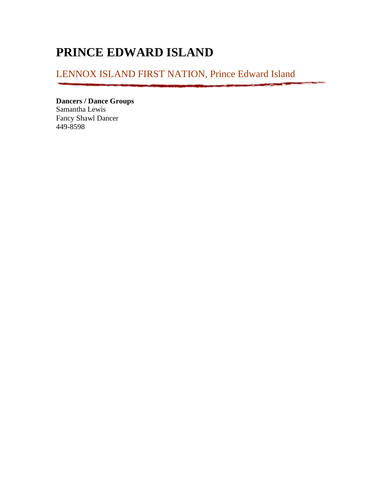# **PRINCE EDWARD ISLAND**

LENNOX ISLAND FIRST NATION, Prince Edward Island

**Dancers / Dance Groups** Samantha Lewis Fancy Shawl Dancer

449-8598